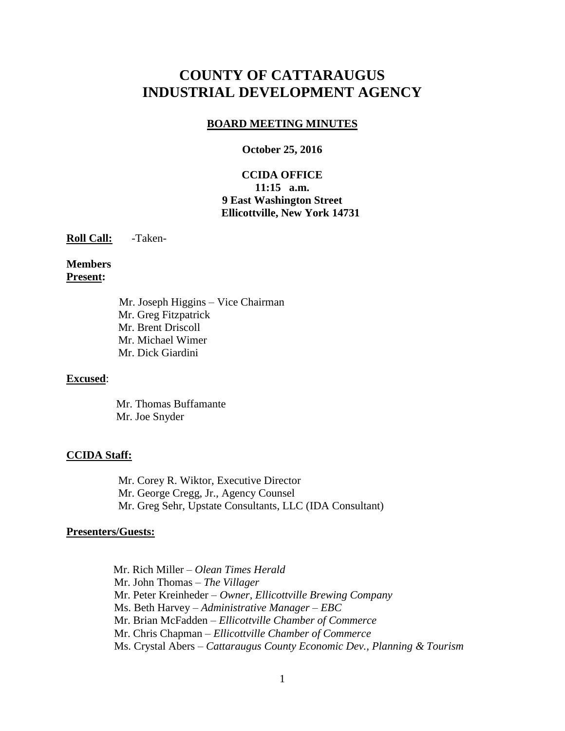# **COUNTY OF CATTARAUGUS INDUSTRIAL DEVELOPMENT AGENCY**

#### **BOARD MEETING MINUTES**

#### **October 25, 2016**

## **CCIDA OFFICE 11:15 a.m. 9 East Washington Street Ellicottville, New York 14731**

**Roll Call:** -Taken-

**Members Present:**

> Mr. Joseph Higgins – Vice Chairman Mr. Greg Fitzpatrick Mr. Brent Driscoll Mr. Michael Wimer Mr. Dick Giardini

#### **Excused**:

 Mr. Thomas Buffamante Mr. Joe Snyder

#### **CCIDA Staff:**

Mr. Corey R. Wiktor, Executive Director Mr. George Cregg, Jr., Agency Counsel Mr. Greg Sehr, Upstate Consultants, LLC (IDA Consultant)

#### **Presenters/Guests:**

 Mr. Rich Miller – *Olean Times Herald* Mr. John Thomas – *The Villager* Mr. Peter Kreinheder – *Owner, Ellicottville Brewing Company* Ms. Beth Harvey – *Administrative Manager – EBC* Mr. Brian McFadden – *Ellicottville Chamber of Commerce* Mr. Chris Chapman – *Ellicottville Chamber of Commerce* Ms. Crystal Abers – *Cattaraugus County Economic Dev., Planning & Tourism*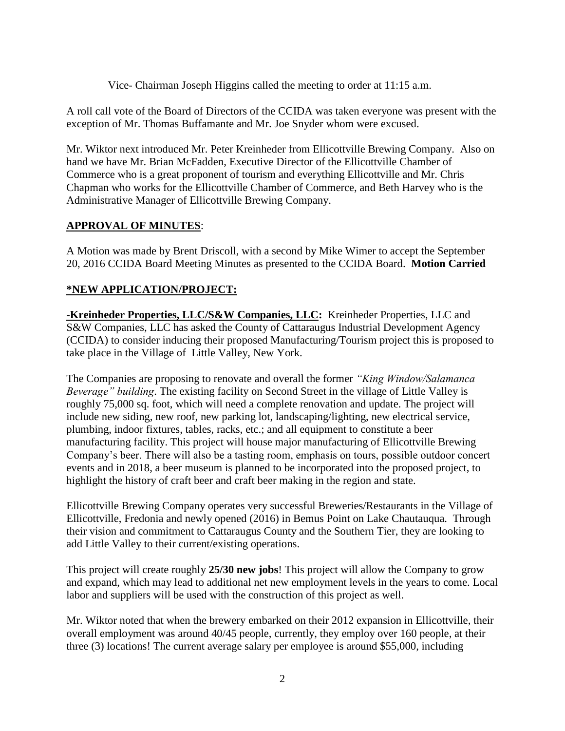Vice- Chairman Joseph Higgins called the meeting to order at 11:15 a.m.

A roll call vote of the Board of Directors of the CCIDA was taken everyone was present with the exception of Mr. Thomas Buffamante and Mr. Joe Snyder whom were excused.

Mr. Wiktor next introduced Mr. Peter Kreinheder from Ellicottville Brewing Company. Also on hand we have Mr. Brian McFadden, Executive Director of the Ellicottville Chamber of Commerce who is a great proponent of tourism and everything Ellicottville and Mr. Chris Chapman who works for the Ellicottville Chamber of Commerce, and Beth Harvey who is the Administrative Manager of Ellicottville Brewing Company.

## **APPROVAL OF MINUTES**:

A Motion was made by Brent Driscoll, with a second by Mike Wimer to accept the September 20, 2016 CCIDA Board Meeting Minutes as presented to the CCIDA Board. **Motion Carried**

## **\*NEW APPLICATION/PROJECT:**

**-Kreinheder Properties, LLC/S&W Companies, LLC:** Kreinheder Properties, LLC and S&W Companies, LLC has asked the County of Cattaraugus Industrial Development Agency (CCIDA) to consider inducing their proposed Manufacturing/Tourism project this is proposed to take place in the Village of Little Valley, New York.

The Companies are proposing to renovate and overall the former *"King Window/Salamanca Beverage" building*. The existing facility on Second Street in the village of Little Valley is roughly 75,000 sq. foot, which will need a complete renovation and update. The project will include new siding, new roof, new parking lot, landscaping/lighting, new electrical service, plumbing, indoor fixtures, tables, racks, etc.; and all equipment to constitute a beer manufacturing facility. This project will house major manufacturing of Ellicottville Brewing Company's beer. There will also be a tasting room, emphasis on tours, possible outdoor concert events and in 2018, a beer museum is planned to be incorporated into the proposed project, to highlight the history of craft beer and craft beer making in the region and state.

Ellicottville Brewing Company operates very successful Breweries/Restaurants in the Village of Ellicottville, Fredonia and newly opened (2016) in Bemus Point on Lake Chautauqua. Through their vision and commitment to Cattaraugus County and the Southern Tier, they are looking to add Little Valley to their current/existing operations.

This project will create roughly **25/30 new jobs**! This project will allow the Company to grow and expand, which may lead to additional net new employment levels in the years to come. Local labor and suppliers will be used with the construction of this project as well.

Mr. Wiktor noted that when the brewery embarked on their 2012 expansion in Ellicottville, their overall employment was around 40/45 people, currently, they employ over 160 people, at their three (3) locations! The current average salary per employee is around \$55,000, including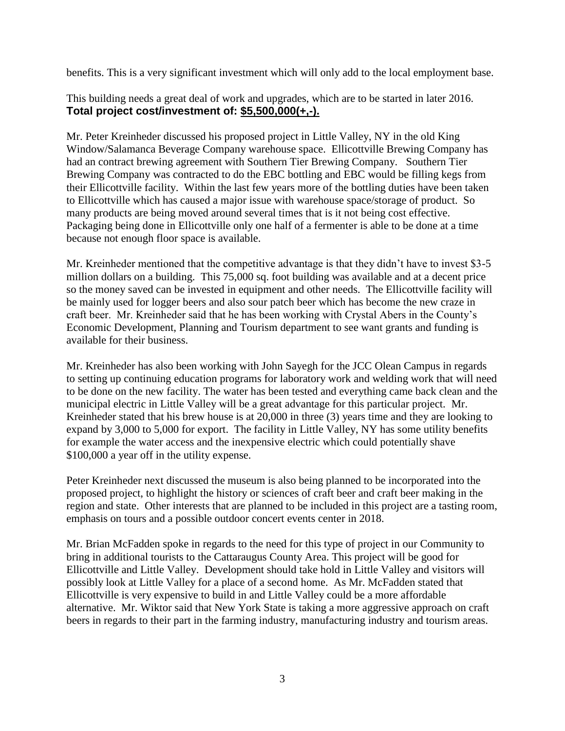benefits. This is a very significant investment which will only add to the local employment base.

This building needs a great deal of work and upgrades, which are to be started in later 2016. **Total project cost/investment of: \$5,500,000(+,-).**

Mr. Peter Kreinheder discussed his proposed project in Little Valley, NY in the old King Window/Salamanca Beverage Company warehouse space. Ellicottville Brewing Company has had an contract brewing agreement with Southern Tier Brewing Company. Southern Tier Brewing Company was contracted to do the EBC bottling and EBC would be filling kegs from their Ellicottville facility. Within the last few years more of the bottling duties have been taken to Ellicottville which has caused a major issue with warehouse space/storage of product. So many products are being moved around several times that is it not being cost effective. Packaging being done in Ellicottville only one half of a fermenter is able to be done at a time because not enough floor space is available.

Mr. Kreinheder mentioned that the competitive advantage is that they didn't have to invest \$3-5 million dollars on a building. This 75,000 sq. foot building was available and at a decent price so the money saved can be invested in equipment and other needs. The Ellicottville facility will be mainly used for logger beers and also sour patch beer which has become the new craze in craft beer. Mr. Kreinheder said that he has been working with Crystal Abers in the County's Economic Development, Planning and Tourism department to see want grants and funding is available for their business.

Mr. Kreinheder has also been working with John Sayegh for the JCC Olean Campus in regards to setting up continuing education programs for laboratory work and welding work that will need to be done on the new facility. The water has been tested and everything came back clean and the municipal electric in Little Valley will be a great advantage for this particular project. Mr. Kreinheder stated that his brew house is at 20,000 in three (3) years time and they are looking to expand by 3,000 to 5,000 for export. The facility in Little Valley, NY has some utility benefits for example the water access and the inexpensive electric which could potentially shave \$100,000 a year off in the utility expense.

Peter Kreinheder next discussed the museum is also being planned to be incorporated into the proposed project, to highlight the history or sciences of craft beer and craft beer making in the region and state. Other interests that are planned to be included in this project are a tasting room, emphasis on tours and a possible outdoor concert events center in 2018.

Mr. Brian McFadden spoke in regards to the need for this type of project in our Community to bring in additional tourists to the Cattaraugus County Area. This project will be good for Ellicottville and Little Valley. Development should take hold in Little Valley and visitors will possibly look at Little Valley for a place of a second home. As Mr. McFadden stated that Ellicottville is very expensive to build in and Little Valley could be a more affordable alternative. Mr. Wiktor said that New York State is taking a more aggressive approach on craft beers in regards to their part in the farming industry, manufacturing industry and tourism areas.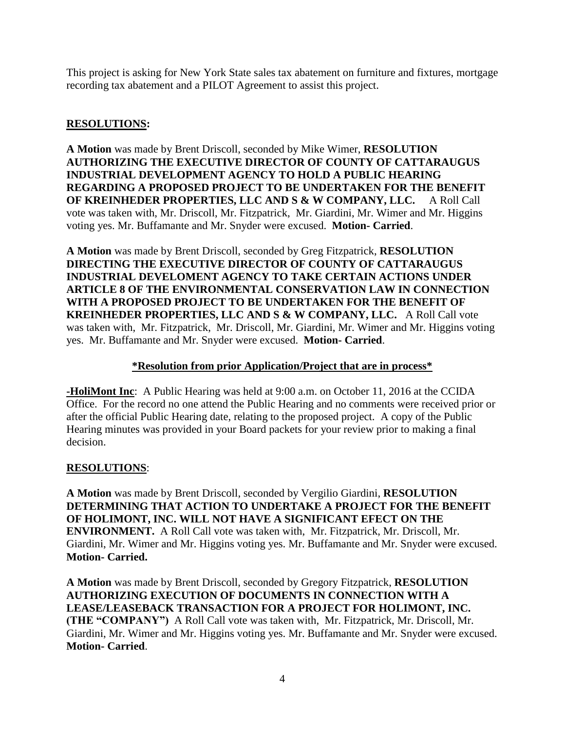This project is asking for New York State sales tax abatement on furniture and fixtures, mortgage recording tax abatement and a PILOT Agreement to assist this project.

## **RESOLUTIONS:**

**A Motion** was made by Brent Driscoll, seconded by Mike Wimer, **RESOLUTION AUTHORIZING THE EXECUTIVE DIRECTOR OF COUNTY OF CATTARAUGUS INDUSTRIAL DEVELOPMENT AGENCY TO HOLD A PUBLIC HEARING REGARDING A PROPOSED PROJECT TO BE UNDERTAKEN FOR THE BENEFIT OF KREINHEDER PROPERTIES, LLC AND S & W COMPANY, LLC.** A Roll Call vote was taken with, Mr. Driscoll, Mr. Fitzpatrick, Mr. Giardini, Mr. Wimer and Mr. Higgins voting yes. Mr. Buffamante and Mr. Snyder were excused. **Motion- Carried**.

**A Motion** was made by Brent Driscoll, seconded by Greg Fitzpatrick, **RESOLUTION DIRECTING THE EXECUTIVE DIRECTOR OF COUNTY OF CATTARAUGUS INDUSTRIAL DEVELOMENT AGENCY TO TAKE CERTAIN ACTIONS UNDER ARTICLE 8 OF THE ENVIRONMENTAL CONSERVATION LAW IN CONNECTION WITH A PROPOSED PROJECT TO BE UNDERTAKEN FOR THE BENEFIT OF KREINHEDER PROPERTIES, LLC AND S & W COMPANY, LLC.** A Roll Call vote was taken with, Mr. Fitzpatrick, Mr. Driscoll, Mr. Giardini, Mr. Wimer and Mr. Higgins voting yes. Mr. Buffamante and Mr. Snyder were excused. **Motion- Carried**.

## **\*Resolution from prior Application/Project that are in process\***

**-HoliMont Inc**: A Public Hearing was held at 9:00 a.m. on October 11, 2016 at the CCIDA Office. For the record no one attend the Public Hearing and no comments were received prior or after the official Public Hearing date, relating to the proposed project. A copy of the Public Hearing minutes was provided in your Board packets for your review prior to making a final decision.

## **RESOLUTIONS**:

**A Motion** was made by Brent Driscoll, seconded by Vergilio Giardini, **RESOLUTION DETERMINING THAT ACTION TO UNDERTAKE A PROJECT FOR THE BENEFIT OF HOLIMONT, INC. WILL NOT HAVE A SIGNIFICANT EFECT ON THE ENVIRONMENT.** A Roll Call vote was taken with, Mr. Fitzpatrick, Mr. Driscoll, Mr. Giardini, Mr. Wimer and Mr. Higgins voting yes. Mr. Buffamante and Mr. Snyder were excused. **Motion- Carried.**

**A Motion** was made by Brent Driscoll, seconded by Gregory Fitzpatrick, **RESOLUTION AUTHORIZING EXECUTION OF DOCUMENTS IN CONNECTION WITH A LEASE/LEASEBACK TRANSACTION FOR A PROJECT FOR HOLIMONT, INC. (THE "COMPANY")** A Roll Call vote was taken with, Mr. Fitzpatrick, Mr. Driscoll, Mr. Giardini, Mr. Wimer and Mr. Higgins voting yes. Mr. Buffamante and Mr. Snyder were excused. **Motion- Carried**.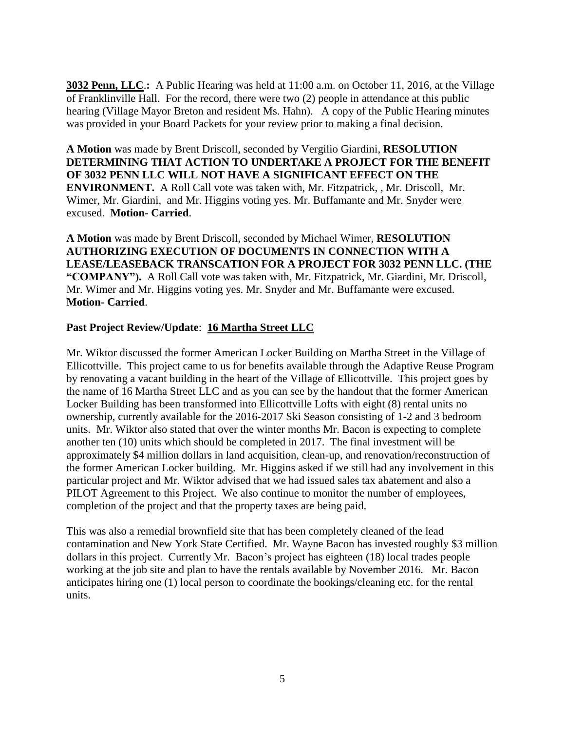**3032 Penn, LLC**.**:** A Public Hearing was held at 11:00 a.m. on October 11, 2016, at the Village of Franklinville Hall. For the record, there were two (2) people in attendance at this public hearing (Village Mayor Breton and resident Ms. Hahn). A copy of the Public Hearing minutes was provided in your Board Packets for your review prior to making a final decision.

**A Motion** was made by Brent Driscoll, seconded by Vergilio Giardini, **RESOLUTION DETERMINING THAT ACTION TO UNDERTAKE A PROJECT FOR THE BENEFIT OF 3032 PENN LLC WILL NOT HAVE A SIGNIFICANT EFFECT ON THE ENVIRONMENT.** A Roll Call vote was taken with, Mr. Fitzpatrick, , Mr. Driscoll, Mr. Wimer, Mr. Giardini, and Mr. Higgins voting yes. Mr. Buffamante and Mr. Snyder were excused. **Motion- Carried**.

**A Motion** was made by Brent Driscoll, seconded by Michael Wimer, **RESOLUTION AUTHORIZING EXECUTION OF DOCUMENTS IN CONNECTION WITH A LEASE/LEASEBACK TRANSCATION FOR A PROJECT FOR 3032 PENN LLC. (THE "COMPANY").** A Roll Call vote was taken with, Mr. Fitzpatrick, Mr. Giardini, Mr. Driscoll, Mr. Wimer and Mr. Higgins voting yes. Mr. Snyder and Mr. Buffamante were excused. **Motion- Carried**.

## **Past Project Review/Update**: **16 Martha Street LLC**

Mr. Wiktor discussed the former American Locker Building on Martha Street in the Village of Ellicottville. This project came to us for benefits available through the Adaptive Reuse Program by renovating a vacant building in the heart of the Village of Ellicottville. This project goes by the name of 16 Martha Street LLC and as you can see by the handout that the former American Locker Building has been transformed into Ellicottville Lofts with eight (8) rental units no ownership, currently available for the 2016-2017 Ski Season consisting of 1-2 and 3 bedroom units. Mr. Wiktor also stated that over the winter months Mr. Bacon is expecting to complete another ten (10) units which should be completed in 2017. The final investment will be approximately \$4 million dollars in land acquisition, clean-up, and renovation/reconstruction of the former American Locker building. Mr. Higgins asked if we still had any involvement in this particular project and Mr. Wiktor advised that we had issued sales tax abatement and also a PILOT Agreement to this Project. We also continue to monitor the number of employees, completion of the project and that the property taxes are being paid.

This was also a remedial brownfield site that has been completely cleaned of the lead contamination and New York State Certified. Mr. Wayne Bacon has invested roughly \$3 million dollars in this project. Currently Mr. Bacon's project has eighteen (18) local trades people working at the job site and plan to have the rentals available by November 2016. Mr. Bacon anticipates hiring one (1) local person to coordinate the bookings/cleaning etc. for the rental units.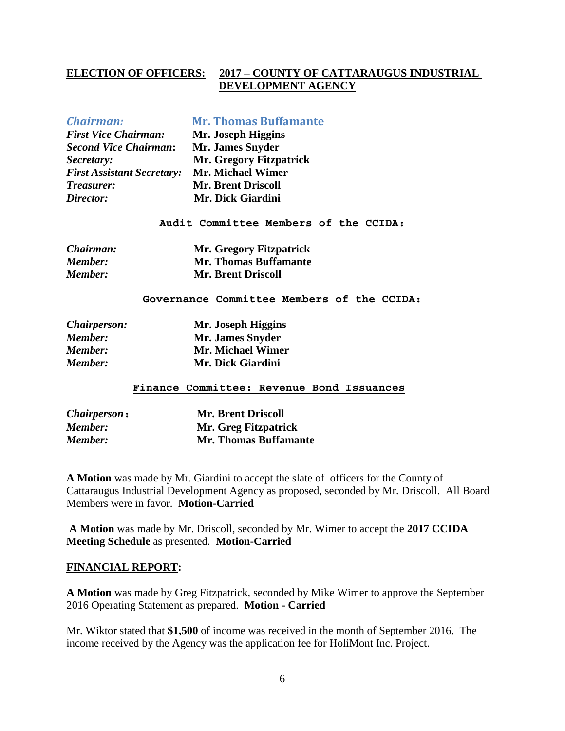#### **ELECTION OF OFFICERS: 2017 – COUNTY OF CATTARAUGUS INDUSTRIAL DEVELOPMENT AGENCY**

#### *Chairman:* **Mr. Thomas Buffamante**

*First Vice Chairman:* **Mr. Joseph Higgins** *Second Vice Chairman***: Mr. James Snyder** *First Assistant Secretary:* **Mr. Michael Wimer** *Treasurer:* **Mr. Brent Driscoll** *Director:* **Mr. Dick Giardini**

*Secretary:* **Mr. Gregory Fitzpatrick**

#### **Audit Committee Members of the CCIDA:**

| Chairman:      | <b>Mr. Gregory Fitzpatrick</b> |
|----------------|--------------------------------|
| <b>Member:</b> | <b>Mr. Thomas Buffamante</b>   |
| <b>Member:</b> | <b>Mr. Brent Driscoll</b>      |

#### **Governance Committee Members of the CCIDA:**

| <i>Chairperson:</i> | Mr. Joseph Higgins       |
|---------------------|--------------------------|
| <b>Member:</b>      | Mr. James Snyder         |
| <b>Member:</b>      | <b>Mr. Michael Wimer</b> |
| <b>Member:</b>      | Mr. Dick Giardini        |

#### **Finance Committee: Revenue Bond Issuances**

| <i>Chairperson</i> : | <b>Mr. Brent Driscoll</b>    |
|----------------------|------------------------------|
| <b>Member:</b>       | Mr. Greg Fitzpatrick         |
| <b>Member:</b>       | <b>Mr. Thomas Buffamante</b> |

**A Motion** was made by Mr. Giardini to accept the slate of officers for the County of Cattaraugus Industrial Development Agency as proposed, seconded by Mr. Driscoll. All Board Members were in favor. **Motion-Carried**

**A Motion** was made by Mr. Driscoll, seconded by Mr. Wimer to accept the **2017 CCIDA Meeting Schedule** as presented. **Motion-Carried**

#### **FINANCIAL REPORT:**

**A Motion** was made by Greg Fitzpatrick, seconded by Mike Wimer to approve the September 2016 Operating Statement as prepared. **Motion - Carried**

Mr. Wiktor stated that **\$1,500** of income was received in the month of September 2016. The income received by the Agency was the application fee for HoliMont Inc. Project.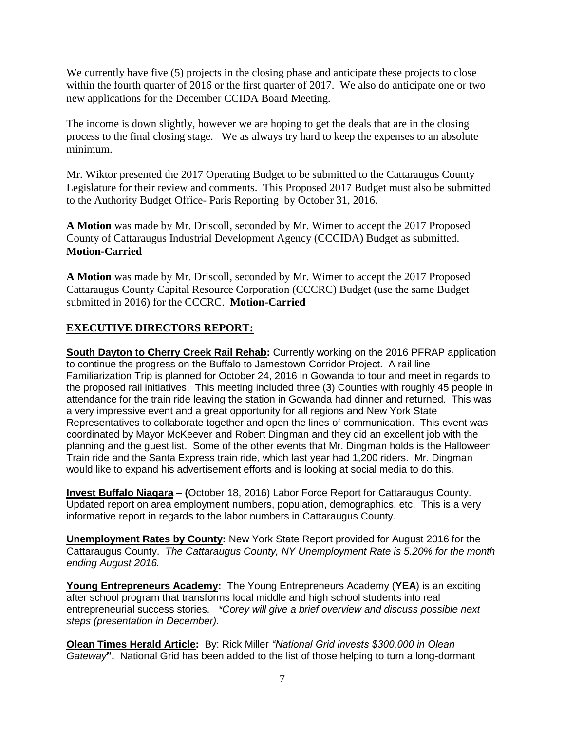We currently have five (5) projects in the closing phase and anticipate these projects to close within the fourth quarter of 2016 or the first quarter of 2017. We also do anticipate one or two new applications for the December CCIDA Board Meeting.

The income is down slightly, however we are hoping to get the deals that are in the closing process to the final closing stage. We as always try hard to keep the expenses to an absolute minimum.

Mr. Wiktor presented the 2017 Operating Budget to be submitted to the Cattaraugus County Legislature for their review and comments. This Proposed 2017 Budget must also be submitted to the Authority Budget Office- Paris Reporting by October 31, 2016.

**A Motion** was made by Mr. Driscoll, seconded by Mr. Wimer to accept the 2017 Proposed County of Cattaraugus Industrial Development Agency (CCCIDA) Budget as submitted. **Motion-Carried**

**A Motion** was made by Mr. Driscoll, seconded by Mr. Wimer to accept the 2017 Proposed Cattaraugus County Capital Resource Corporation (CCCRC) Budget (use the same Budget submitted in 2016) for the CCCRC. **Motion-Carried**

## **EXECUTIVE DIRECTORS REPORT:**

**South Dayton to Cherry Creek Rail Rehab:** Currently working on the 2016 PFRAP application to continue the progress on the Buffalo to Jamestown Corridor Project. A rail line Familiarization Trip is planned for October 24, 2016 in Gowanda to tour and meet in regards to the proposed rail initiatives. This meeting included three (3) Counties with roughly 45 people in attendance for the train ride leaving the station in Gowanda had dinner and returned. This was a very impressive event and a great opportunity for all regions and New York State Representatives to collaborate together and open the lines of communication. This event was coordinated by Mayor McKeever and Robert Dingman and they did an excellent job with the planning and the guest list. Some of the other events that Mr. Dingman holds is the Halloween Train ride and the Santa Express train ride, which last year had 1,200 riders. Mr. Dingman would like to expand his advertisement efforts and is looking at social media to do this.

**Invest Buffalo Niagara – (**October 18, 2016) Labor Force Report for Cattaraugus County. Updated report on area employment numbers, population, demographics, etc. This is a very informative report in regards to the labor numbers in Cattaraugus County.

**Unemployment Rates by County:** New York State Report provided for August 2016 for the Cattaraugus County. *The Cattaraugus County, NY Unemployment Rate is 5.20% for the month ending August 2016.*

**Young Entrepreneurs Academy:** The Young Entrepreneurs Academy (**YEA**) is an exciting after school program that transforms local middle and high school students into real entrepreneurial success stories. *\*Corey will give a brief overview and discuss possible next steps (presentation in December).*

**Olean Times Herald Article:** By: Rick Miller *"National Grid invests \$300,000 in Olean Gateway***".** National Grid has been added to the list of those helping to turn a long-dormant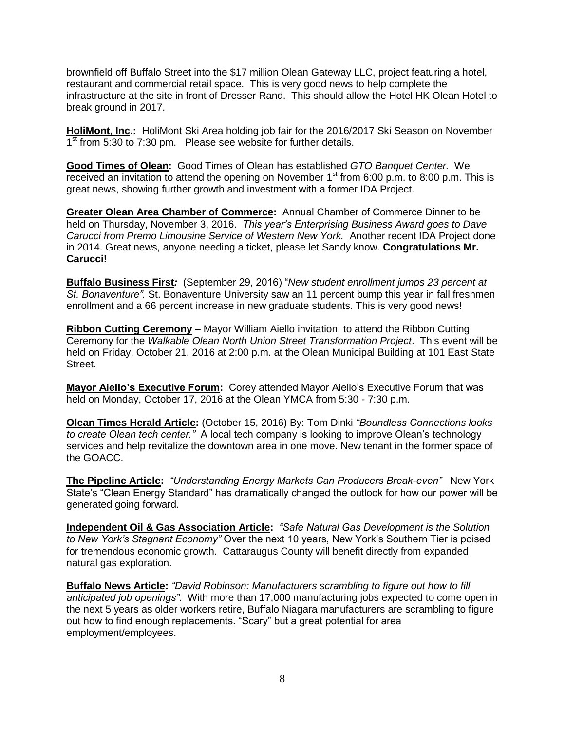brownfield off Buffalo Street into the \$17 million Olean Gateway LLC, project featuring a hotel, restaurant and commercial retail space. This is very good news to help complete the infrastructure at the site in front of Dresser Rand. This should allow the Hotel HK Olean Hotel to break ground in 2017.

**HoliMont, Inc.:** HoliMont Ski Area holding job fair for the 2016/2017 Ski Season on November 1<sup>st</sup> from 5:30 to 7:30 pm. Please see website for further details.

**Good Times of Olean:** Good Times of Olean has established *GTO Banquet Center.* We received an invitation to attend the opening on November  $1<sup>st</sup>$  from 6:00 p.m. to 8:00 p.m. This is great news, showing further growth and investment with a former IDA Project.

**Greater Olean Area Chamber of Commerce:** Annual Chamber of Commerce Dinner to be held on Thursday, November 3, 2016. *This year's Enterprising Business Award goes to Dave Carucci from Premo Limousine Service of Western New York.* Another recent IDA Project done in 2014. Great news, anyone needing a ticket, please let Sandy know. **Congratulations Mr. Carucci!**

**Buffalo Business First***:* (September 29, 2016) "*New student enrollment jumps 23 percent at St. Bonaventure".* St. Bonaventure University saw an 11 percent bump this year in fall freshmen enrollment and a 66 percent increase in new graduate students. This is very good news!

**Ribbon Cutting Ceremony –** Mayor William Aiello invitation, to attend the Ribbon Cutting Ceremony for the *Walkable Olean North Union Street Transformation Project*. This event will be held on Friday, October 21, 2016 at 2:00 p.m. at the Olean Municipal Building at 101 East State Street.

**Mayor Aiello's Executive Forum:** Corey attended Mayor Aiello's Executive Forum that was held on Monday, October 17, 2016 at the Olean YMCA from 5:30 - 7:30 p.m.

**Olean Times Herald Article:** (October 15, 2016) By: Tom Dinki *"Boundless Connections looks to create Olean tech center."* A local tech company is looking to improve Olean's technology services and help revitalize the downtown area in one move. New tenant in the former space of the GOACC.

**The Pipeline Article:** *"Understanding Energy Markets Can Producers Break-even"* New York State's "Clean Energy Standard" has dramatically changed the outlook for how our power will be generated going forward.

**Independent Oil & Gas Association Article:** *"Safe Natural Gas Development is the Solution to New York's Stagnant Economy"* Over the next 10 years, New York's Southern Tier is poised for tremendous economic growth. Cattaraugus County will benefit directly from expanded natural gas exploration.

**Buffalo News Article:** *"David Robinson: Manufacturers scrambling to figure out how to fill anticipated job openings".* With more than 17,000 manufacturing jobs expected to come open in the next 5 years as older workers retire, Buffalo Niagara manufacturers are scrambling to figure out how to find enough replacements. "Scary" but a great potential for area employment/employees.